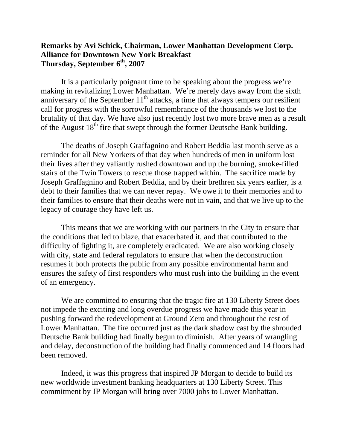## **Remarks by Avi Schick, Chairman, Lower Manhattan Development Corp. Alliance for Downtown New York Breakfast Thursday, September 6th, 2007**

It is a particularly poignant time to be speaking about the progress we're making in revitalizing Lower Manhattan. We're merely days away from the sixth anniversary of the September  $11<sup>th</sup>$  attacks, a time that always tempers our resilient call for progress with the sorrowful remembrance of the thousands we lost to the brutality of that day. We have also just recently lost two more brave men as a result of the August  $18<sup>th</sup>$  fire that swept through the former Deutsche Bank building.

The deaths of Joseph Graffagnino and Robert Beddia last month serve as a reminder for all New Yorkers of that day when hundreds of men in uniform lost their lives after they valiantly rushed downtown and up the burning, smoke-filled stairs of the Twin Towers to rescue those trapped within. The sacrifice made by Joseph Graffagnino and Robert Beddia, and by their brethren six years earlier, is a debt to their families that we can never repay. We owe it to their memories and to their families to ensure that their deaths were not in vain, and that we live up to the legacy of courage they have left us.

This means that we are working with our partners in the City to ensure that the conditions that led to blaze, that exacerbated it, and that contributed to the difficulty of fighting it, are completely eradicated. We are also working closely with city, state and federal regulators to ensure that when the deconstruction resumes it both protects the public from any possible environmental harm and ensures the safety of first responders who must rush into the building in the event of an emergency.

We are committed to ensuring that the tragic fire at 130 Liberty Street does not impede the exciting and long overdue progress we have made this year in pushing forward the redevelopment at Ground Zero and throughout the rest of Lower Manhattan. The fire occurred just as the dark shadow cast by the shrouded Deutsche Bank building had finally begun to diminish. After years of wrangling and delay, deconstruction of the building had finally commenced and 14 floors had been removed.

Indeed, it was this progress that inspired JP Morgan to decide to build its new worldwide investment banking headquarters at 130 Liberty Street. This commitment by JP Morgan will bring over 7000 jobs to Lower Manhattan.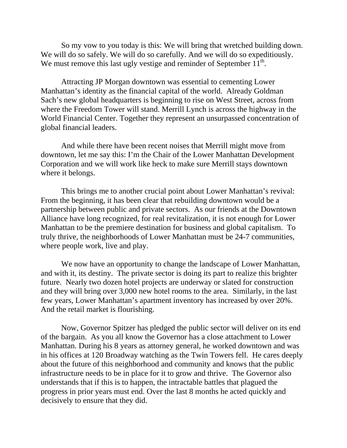So my vow to you today is this: We will bring that wretched building down. We will do so safely. We will do so carefully. And we will do so expeditiously. We must remove this last ugly vestige and reminder of September  $11<sup>th</sup>$ .

Attracting JP Morgan downtown was essential to cementing Lower Manhattan's identity as the financial capital of the world. Already Goldman Sach's new global headquarters is beginning to rise on West Street, across from where the Freedom Tower will stand. Merrill Lynch is across the highway in the World Financial Center. Together they represent an unsurpassed concentration of global financial leaders.

And while there have been recent noises that Merrill might move from downtown, let me say this: I'm the Chair of the Lower Manhattan Development Corporation and we will work like heck to make sure Merrill stays downtown where it belongs.

This brings me to another crucial point about Lower Manhattan's revival: From the beginning, it has been clear that rebuilding downtown would be a partnership between public and private sectors. As our friends at the Downtown Alliance have long recognized, for real revitalization, it is not enough for Lower Manhattan to be the premiere destination for business and global capitalism. To truly thrive, the neighborhoods of Lower Manhattan must be 24-7 communities, where people work, live and play.

We now have an opportunity to change the landscape of Lower Manhattan, and with it, its destiny. The private sector is doing its part to realize this brighter future. Nearly two dozen hotel projects are underway or slated for construction and they will bring over 3,000 new hotel rooms to the area. Similarly, in the last few years, Lower Manhattan's apartment inventory has increased by over 20%. And the retail market is flourishing.

Now, Governor Spitzer has pledged the public sector will deliver on its end of the bargain. As you all know the Governor has a close attachment to Lower Manhattan. During his 8 years as attorney general, he worked downtown and was in his offices at 120 Broadway watching as the Twin Towers fell. He cares deeply about the future of this neighborhood and community and knows that the public infrastructure needs to be in place for it to grow and thrive. The Governor also understands that if this is to happen, the intractable battles that plagued the progress in prior years must end. Over the last 8 months he acted quickly and decisively to ensure that they did.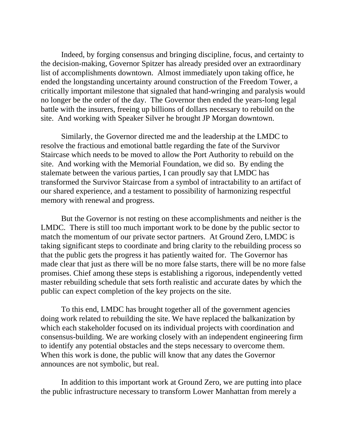Indeed, by forging consensus and bringing discipline, focus, and certainty to the decision-making, Governor Spitzer has already presided over an extraordinary list of accomplishments downtown. Almost immediately upon taking office, he ended the longstanding uncertainty around construction of the Freedom Tower, a critically important milestone that signaled that hand-wringing and paralysis would no longer be the order of the day. The Governor then ended the years-long legal battle with the insurers, freeing up billions of dollars necessary to rebuild on the site. And working with Speaker Silver he brought JP Morgan downtown.

Similarly, the Governor directed me and the leadership at the LMDC to resolve the fractious and emotional battle regarding the fate of the Survivor Staircase which needs to be moved to allow the Port Authority to rebuild on the site. And working with the Memorial Foundation, we did so. By ending the stalemate between the various parties, I can proudly say that LMDC has transformed the Survivor Staircase from a symbol of intractability to an artifact of our shared experience, and a testament to possibility of harmonizing respectful memory with renewal and progress.

But the Governor is not resting on these accomplishments and neither is the LMDC. There is still too much important work to be done by the public sector to match the momentum of our private sector partners. At Ground Zero, LMDC is taking significant steps to coordinate and bring clarity to the rebuilding process so that the public gets the progress it has patiently waited for. The Governor has made clear that just as there will be no more false starts, there will be no more false promises. Chief among these steps is establishing a rigorous, independently vetted master rebuilding schedule that sets forth realistic and accurate dates by which the public can expect completion of the key projects on the site.

To this end, LMDC has brought together all of the government agencies doing work related to rebuilding the site. We have replaced the balkanization by which each stakeholder focused on its individual projects with coordination and consensus-building. We are working closely with an independent engineering firm to identify any potential obstacles and the steps necessary to overcome them. When this work is done, the public will know that any dates the Governor announces are not symbolic, but real.

In addition to this important work at Ground Zero, we are putting into place the public infrastructure necessary to transform Lower Manhattan from merely a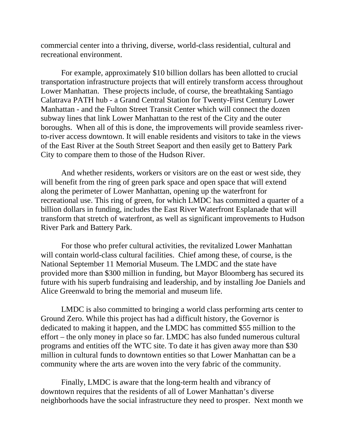commercial center into a thriving, diverse, world-class residential, cultural and recreational environment.

For example, approximately \$10 billion dollars has been allotted to crucial transportation infrastructure projects that will entirely transform access throughout Lower Manhattan. These projects include, of course, the breathtaking Santiago Calatrava PATH hub - a Grand Central Station for Twenty-First Century Lower Manhattan - and the Fulton Street Transit Center which will connect the dozen subway lines that link Lower Manhattan to the rest of the City and the outer boroughs. When all of this is done, the improvements will provide seamless riverto-river access downtown. It will enable residents and visitors to take in the views of the East River at the South Street Seaport and then easily get to Battery Park City to compare them to those of the Hudson River.

And whether residents, workers or visitors are on the east or west side, they will benefit from the ring of green park space and open space that will extend along the perimeter of Lower Manhattan, opening up the waterfront for recreational use. This ring of green, for which LMDC has committed a quarter of a billion dollars in funding, includes the East River Waterfront Esplanade that will transform that stretch of waterfront, as well as significant improvements to Hudson River Park and Battery Park.

For those who prefer cultural activities, the revitalized Lower Manhattan will contain world-class cultural facilities. Chief among these, of course, is the National September 11 Memorial Museum. The LMDC and the state have provided more than \$300 million in funding, but Mayor Bloomberg has secured its future with his superb fundraising and leadership, and by installing Joe Daniels and Alice Greenwald to bring the memorial and museum life.

LMDC is also committed to bringing a world class performing arts center to Ground Zero. While this project has had a difficult history, the Governor is dedicated to making it happen, and the LMDC has committed \$55 million to the effort – the only money in place so far. LMDC has also funded numerous cultural programs and entities off the WTC site. To date it has given away more than \$30 million in cultural funds to downtown entities so that Lower Manhattan can be a community where the arts are woven into the very fabric of the community.

Finally, LMDC is aware that the long-term health and vibrancy of downtown requires that the residents of all of Lower Manhattan's diverse neighborhoods have the social infrastructure they need to prosper. Next month we